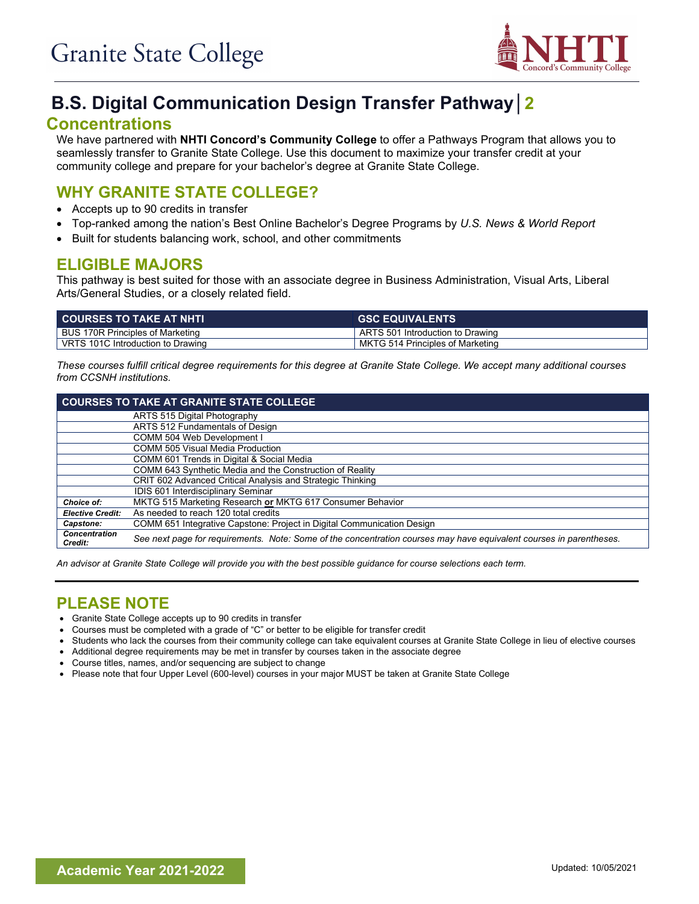

# **B.S. Digital Communication Design Transfer Pathway│2**

#### **Concentrations**

We have partnered with **NHTI Concord's Community College** to offer a Pathways Program that allows you to seamlessly transfer to Granite State College. Use this document to maximize your transfer credit at your community college and prepare for your bachelor's degree at Granite State College.

# **WHY GRANITE STATE COLLEGE?**

- Accepts up to 90 credits in transfer
- Top-ranked among the nation's Best Online Bachelor's Degree Programs by *U.S. News & World Report*
- Built for students balancing work, school, and other commitments

### **ELIGIBLE MAJORS**

This pathway is best suited for those with an associate degree in Business Administration, Visual Arts, Liberal Arts/General Studies, or a closely related field.

| <b>COURSES TO TAKE AT NHTL</b>    | <b>GSC EQUIVALENTS</b>                |
|-----------------------------------|---------------------------------------|
| BUS 170R Principles of Marketing  | $\,$ ARTS 501 Introduction to Drawing |
| VRTS 101C Introduction to Drawing | MKTG 514 Principles of Marketing      |

*These courses fulfill critical degree requirements for this degree at Granite State College. We accept many additional courses from CCSNH institutions.*

|                                 | <b>COURSES TO TAKE AT GRANITE STATE COLLEGE</b>                                                                     |  |  |
|---------------------------------|---------------------------------------------------------------------------------------------------------------------|--|--|
|                                 | ARTS 515 Digital Photography                                                                                        |  |  |
|                                 | ARTS 512 Fundamentals of Design                                                                                     |  |  |
|                                 | COMM 504 Web Development I                                                                                          |  |  |
|                                 | <b>COMM 505 Visual Media Production</b>                                                                             |  |  |
|                                 | COMM 601 Trends in Digital & Social Media                                                                           |  |  |
|                                 | COMM 643 Synthetic Media and the Construction of Reality                                                            |  |  |
|                                 | CRIT 602 Advanced Critical Analysis and Strategic Thinking                                                          |  |  |
|                                 | IDIS 601 Interdisciplinary Seminar                                                                                  |  |  |
| Choice of:                      | MKTG 515 Marketing Research or MKTG 617 Consumer Behavior                                                           |  |  |
| <b>Elective Credit:</b>         | As needed to reach 120 total credits                                                                                |  |  |
| Capstone:                       | COMM 651 Integrative Capstone: Project in Digital Communication Design                                              |  |  |
| <b>Concentration</b><br>Credit: | See next page for requirements. Note: Some of the concentration courses may have equivalent courses in parentheses. |  |  |

*An advisor at Granite State College will provide you with the best possible guidance for course selections each term.*

#### **PLEASE NOTE**

- Granite State College accepts up to 90 credits in transfer
- Courses must be completed with a grade of "C" or better to be eligible for transfer credit
- Students who lack the courses from their community college can take equivalent courses at Granite State College in lieu of elective courses
- Additional degree requirements may be met in transfer by courses taken in the associate degree
- Course titles, names, and/or sequencing are subject to change
- Please note that four Upper Level (600-level) courses in your major MUST be taken at Granite State College